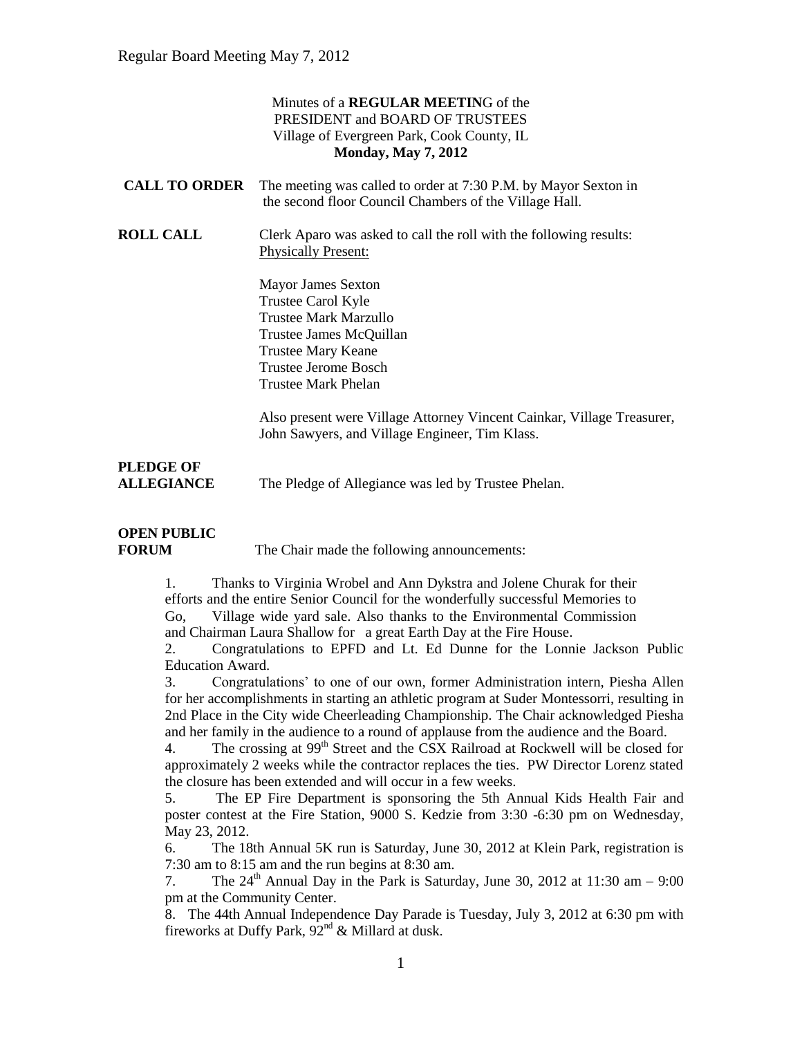#### Minutes of a **REGULAR MEETIN**G of the PRESIDENT and BOARD OF TRUSTEES Village of Evergreen Park, Cook County, IL **Monday, May 7, 2012**

| <b>CALL TO ORDER</b> The meeting was called to order at 7:30 P.M. by Mayor Sexton in |
|--------------------------------------------------------------------------------------|
| the second floor Council Chambers of the Village Hall.                               |

**ROLL CALL** Clerk Aparo was asked to call the roll with the following results: Physically Present:

> Mayor James Sexton Trustee Carol Kyle Trustee Mark Marzullo Trustee James McQuillan Trustee Mary Keane Trustee Jerome Bosch Trustee Mark Phelan

Also present were Village Attorney Vincent Cainkar, Village Treasurer, John Sawyers, and Village Engineer, Tim Klass.

### **PLEDGE OF ALLEGIANCE** The Pledge of Allegiance was led by Trustee Phelan.

### **OPEN PUBLIC**

**FORUM** The Chair made the following announcements:

1. Thanks to Virginia Wrobel and Ann Dykstra and Jolene Churak for their efforts and the entire Senior Council for the wonderfully successful Memories to Go, Village wide yard sale. Also thanks to the Environmental Commission and Chairman Laura Shallow for a great Earth Day at the Fire House.

2. Congratulations to EPFD and Lt. Ed Dunne for the Lonnie Jackson Public Education Award.

3. Congratulations' to one of our own, former Administration intern, Piesha Allen for her accomplishments in starting an athletic program at Suder Montessorri, resulting in 2nd Place in the City wide Cheerleading Championship. The Chair acknowledged Piesha and her family in the audience to a round of applause from the audience and the Board.

4. The crossing at 99<sup>th</sup> Street and the CSX Railroad at Rockwell will be closed for approximately 2 weeks while the contractor replaces the ties. PW Director Lorenz stated the closure has been extended and will occur in a few weeks.

5. The EP Fire Department is sponsoring the 5th Annual Kids Health Fair and poster contest at the Fire Station, 9000 S. Kedzie from 3:30 -6:30 pm on Wednesday, May 23, 2012.

6. The 18th Annual 5K run is Saturday, June 30, 2012 at Klein Park, registration is 7:30 am to 8:15 am and the run begins at 8:30 am.

7. The  $24<sup>th</sup>$  Annual Day in the Park is Saturday, June 30, 2012 at 11:30 am  $-9:00$ pm at the Community Center.

8. The 44th Annual Independence Day Parade is Tuesday, July 3, 2012 at 6:30 pm with fireworks at Duffy Park,  $92<sup>nd</sup>$  & Millard at dusk.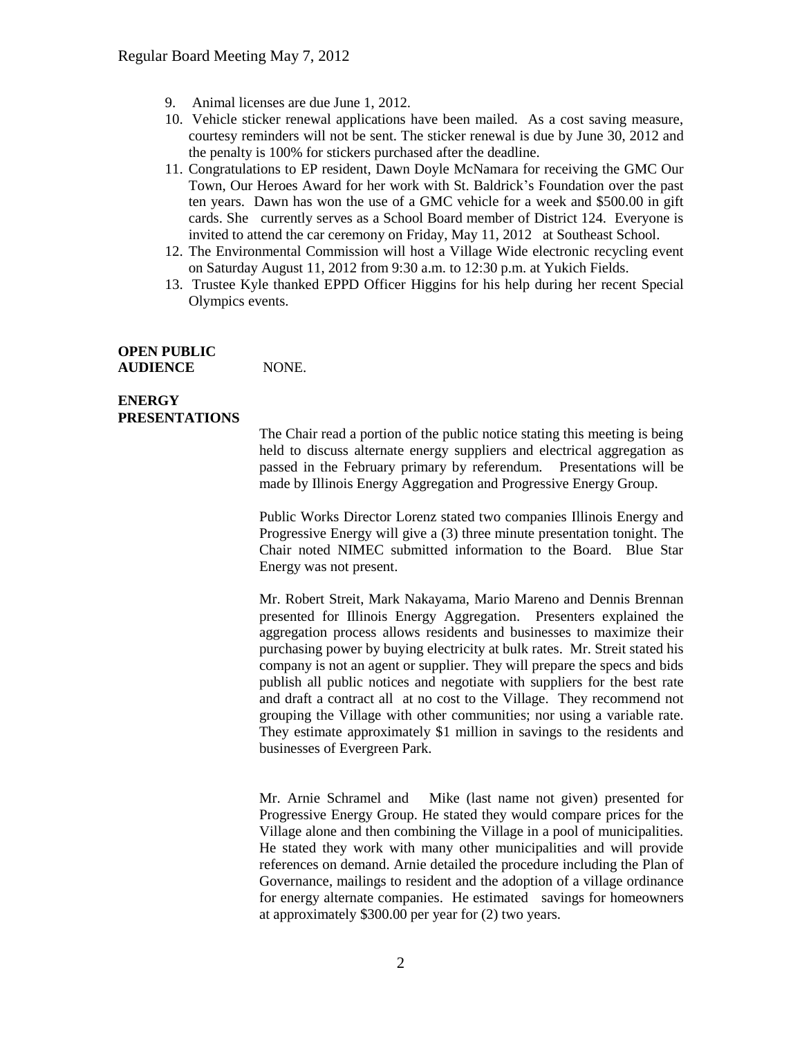- 9. Animal licenses are due June 1, 2012.
- 10. Vehicle sticker renewal applications have been mailed. As a cost saving measure, courtesy reminders will not be sent. The sticker renewal is due by June 30, 2012 and the penalty is 100% for stickers purchased after the deadline.
- 11. Congratulations to EP resident, Dawn Doyle McNamara for receiving the GMC Our Town, Our Heroes Award for her work with St. Baldrick's Foundation over the past ten years. Dawn has won the use of a GMC vehicle for a week and \$500.00 in gift cards. She currently serves as a School Board member of District 124. Everyone is invited to attend the car ceremony on Friday, May 11, 2012 at Southeast School.
- 12. The Environmental Commission will host a Village Wide electronic recycling event on Saturday August 11, 2012 from 9:30 a.m. to 12:30 p.m. at Yukich Fields.
- 13. Trustee Kyle thanked EPPD Officer Higgins for his help during her recent Special Olympics events.

#### **OPEN PUBLIC** AUDIENCE NONE.

#### **ENERGY PRESENTATIONS**

The Chair read a portion of the public notice stating this meeting is being held to discuss alternate energy suppliers and electrical aggregation as passed in the February primary by referendum. Presentations will be made by Illinois Energy Aggregation and Progressive Energy Group.

Public Works Director Lorenz stated two companies Illinois Energy and Progressive Energy will give a (3) three minute presentation tonight. The Chair noted NIMEC submitted information to the Board. Blue Star Energy was not present.

Mr. Robert Streit, Mark Nakayama, Mario Mareno and Dennis Brennan presented for Illinois Energy Aggregation. Presenters explained the aggregation process allows residents and businesses to maximize their purchasing power by buying electricity at bulk rates. Mr. Streit stated his company is not an agent or supplier. They will prepare the specs and bids publish all public notices and negotiate with suppliers for the best rate and draft a contract all at no cost to the Village. They recommend not grouping the Village with other communities; nor using a variable rate. They estimate approximately \$1 million in savings to the residents and businesses of Evergreen Park.

Mr. Arnie Schramel and Mike (last name not given) presented for Progressive Energy Group. He stated they would compare prices for the Village alone and then combining the Village in a pool of municipalities. He stated they work with many other municipalities and will provide references on demand. Arnie detailed the procedure including the Plan of Governance, mailings to resident and the adoption of a village ordinance for energy alternate companies. He estimated savings for homeowners at approximately \$300.00 per year for (2) two years.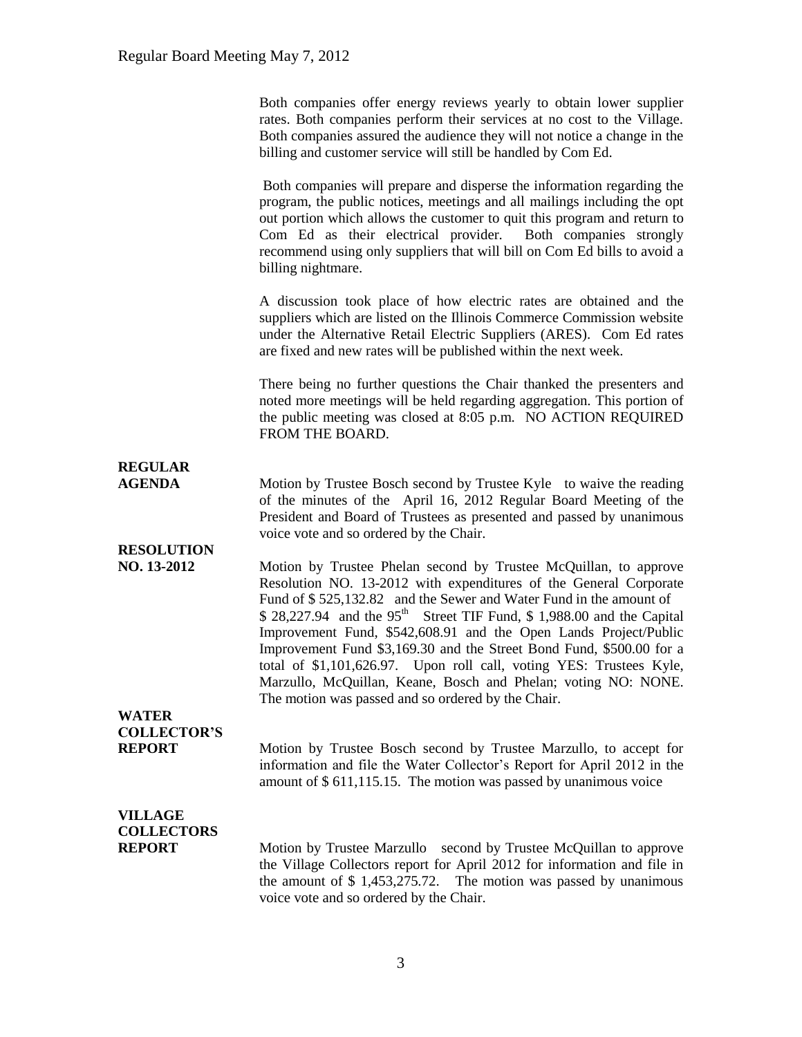|                                     | Both companies offer energy reviews yearly to obtain lower supplier<br>rates. Both companies perform their services at no cost to the Village.<br>Both companies assured the audience they will not notice a change in the<br>billing and customer service will still be handled by Com Ed.                                                                                                                                                                                                                                                                                            |
|-------------------------------------|----------------------------------------------------------------------------------------------------------------------------------------------------------------------------------------------------------------------------------------------------------------------------------------------------------------------------------------------------------------------------------------------------------------------------------------------------------------------------------------------------------------------------------------------------------------------------------------|
|                                     | Both companies will prepare and disperse the information regarding the<br>program, the public notices, meetings and all mailings including the opt<br>out portion which allows the customer to quit this program and return to<br>Com Ed as their electrical provider.<br>Both companies strongly<br>recommend using only suppliers that will bill on Com Ed bills to avoid a<br>billing nightmare.                                                                                                                                                                                    |
|                                     | A discussion took place of how electric rates are obtained and the<br>suppliers which are listed on the Illinois Commerce Commission website<br>under the Alternative Retail Electric Suppliers (ARES). Com Ed rates<br>are fixed and new rates will be published within the next week.                                                                                                                                                                                                                                                                                                |
|                                     | There being no further questions the Chair thanked the presenters and<br>noted more meetings will be held regarding aggregation. This portion of<br>the public meeting was closed at 8:05 p.m. NO ACTION REQUIRED<br>FROM THE BOARD.                                                                                                                                                                                                                                                                                                                                                   |
|                                     |                                                                                                                                                                                                                                                                                                                                                                                                                                                                                                                                                                                        |
| <b>REGULAR</b><br><b>AGENDA</b>     | Motion by Trustee Bosch second by Trustee Kyle to waive the reading<br>of the minutes of the April 16, 2012 Regular Board Meeting of the<br>President and Board of Trustees as presented and passed by unanimous<br>voice vote and so ordered by the Chair.                                                                                                                                                                                                                                                                                                                            |
| <b>RESOLUTION</b><br>NO. 13-2012    | Motion by Trustee Phelan second by Trustee McQuillan, to approve<br>Resolution NO. 13-2012 with expenditures of the General Corporate<br>Fund of \$525,132.82 and the Sewer and Water Fund in the amount of<br>\$ 28,227.94 and the 95 <sup>th</sup> Street TIF Fund, \$ 1,988.00 and the Capital<br>Improvement Fund, \$542,608.91 and the Open Lands Project/Public<br>Improvement Fund \$3,169.30 and the Street Bond Fund, \$500.00 for a<br>total of \$1,101,626.97. Upon roll call, voting YES: Trustees Kyle,<br>Marzullo, McQuillan, Keane, Bosch and Phelan; voting NO: NONE. |
| <b>WATER</b>                        | The motion was passed and so ordered by the Chair.                                                                                                                                                                                                                                                                                                                                                                                                                                                                                                                                     |
| <b>COLLECTOR'S</b>                  |                                                                                                                                                                                                                                                                                                                                                                                                                                                                                                                                                                                        |
| <b>REPORT</b>                       | Motion by Trustee Bosch second by Trustee Marzullo, to accept for<br>information and file the Water Collector's Report for April 2012 in the<br>amount of \$ 611,115.15. The motion was passed by unanimous voice                                                                                                                                                                                                                                                                                                                                                                      |
| <b>VILLAGE</b><br><b>COLLECTORS</b> |                                                                                                                                                                                                                                                                                                                                                                                                                                                                                                                                                                                        |
| <b>REPORT</b>                       | Motion by Trustee Marzullo second by Trustee McQuillan to approve<br>the Village Collectors report for April 2012 for information and file in<br>the amount of $$1,453,275.72$ . The motion was passed by unanimous<br>voice vote and so ordered by the Chair.                                                                                                                                                                                                                                                                                                                         |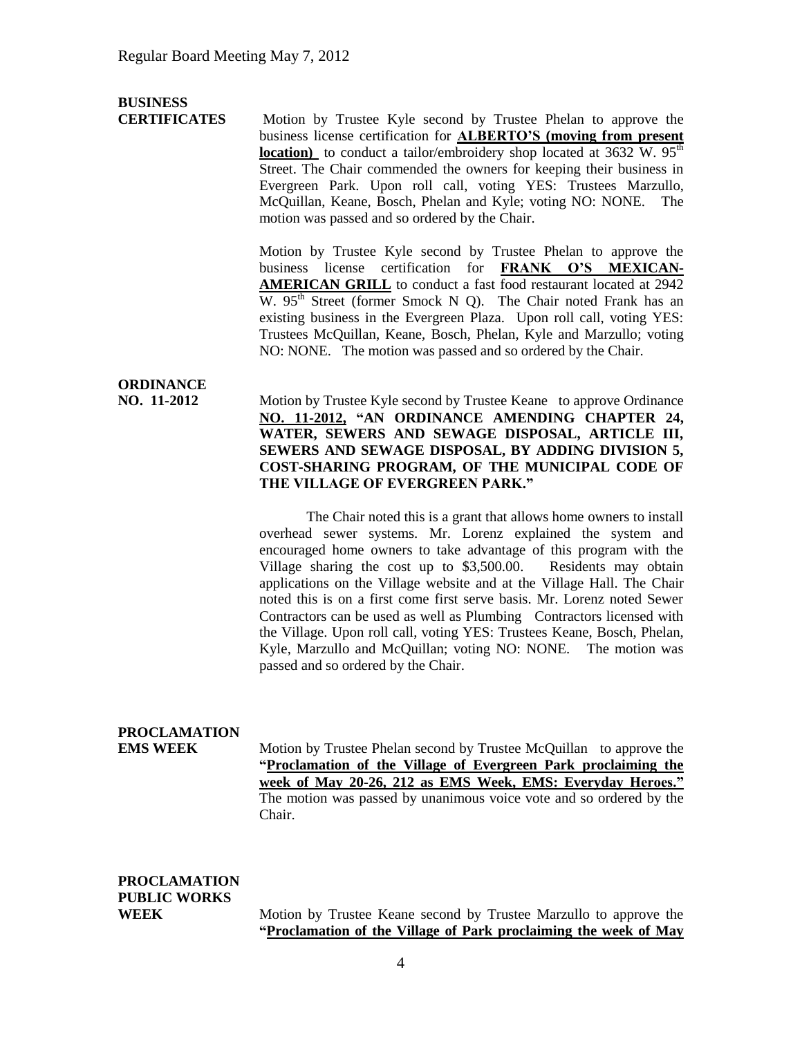## **BUSINESS**

**CERTIFICATES** Motion by Trustee Kyle second by Trustee Phelan to approve the business license certification for **ALBERTO'S (moving from present location**) to conduct a tailor/embroidery shop located at  $3632$  W.  $95<sup>th</sup>$ Street. The Chair commended the owners for keeping their business in Evergreen Park. Upon roll call, voting YES: Trustees Marzullo, McQuillan, Keane, Bosch, Phelan and Kyle; voting NO: NONE. The motion was passed and so ordered by the Chair.

> Motion by Trustee Kyle second by Trustee Phelan to approve the business license certification for **FRANK O'S MEXICAN-AMERICAN GRILL** to conduct a fast food restaurant located at 2942 W.  $95<sup>th</sup>$  Street (former Smock N Q). The Chair noted Frank has an existing business in the Evergreen Plaza. Upon roll call, voting YES: Trustees McQuillan, Keane, Bosch, Phelan, Kyle and Marzullo; voting NO: NONE. The motion was passed and so ordered by the Chair.

## **ORDINANCE**

**NO. 11-2012** Motion by Trustee Kyle second by Trustee Keane to approve Ordinance **NO. 11-2012, "AN ORDINANCE AMENDING CHAPTER 24, WATER, SEWERS AND SEWAGE DISPOSAL, ARTICLE III, SEWERS AND SEWAGE DISPOSAL, BY ADDING DIVISION 5, COST-SHARING PROGRAM, OF THE MUNICIPAL CODE OF THE VILLAGE OF EVERGREEN PARK."**

> The Chair noted this is a grant that allows home owners to install overhead sewer systems. Mr. Lorenz explained the system and encouraged home owners to take advantage of this program with the Village sharing the cost up to \$3,500.00. Residents may obtain applications on the Village website and at the Village Hall. The Chair noted this is on a first come first serve basis. Mr. Lorenz noted Sewer Contractors can be used as well as Plumbing Contractors licensed with the Village. Upon roll call, voting YES: Trustees Keane, Bosch, Phelan, Kyle, Marzullo and McQuillan; voting NO: NONE. The motion was passed and so ordered by the Chair.

### **PROCLAMATION**

**EMS WEEK** Motion by Trustee Phelan second by Trustee McQuillan to approve the **"Proclamation of the Village of Evergreen Park proclaiming the week of May 20-26, 212 as EMS Week, EMS: Everyday Heroes."**  The motion was passed by unanimous voice vote and so ordered by the Chair.

# **PROCLAMATION PUBLIC WORKS**

**WEEK** Motion by Trustee Keane second by Trustee Marzullo to approve the **"Proclamation of the Village of Park proclaiming the week of May**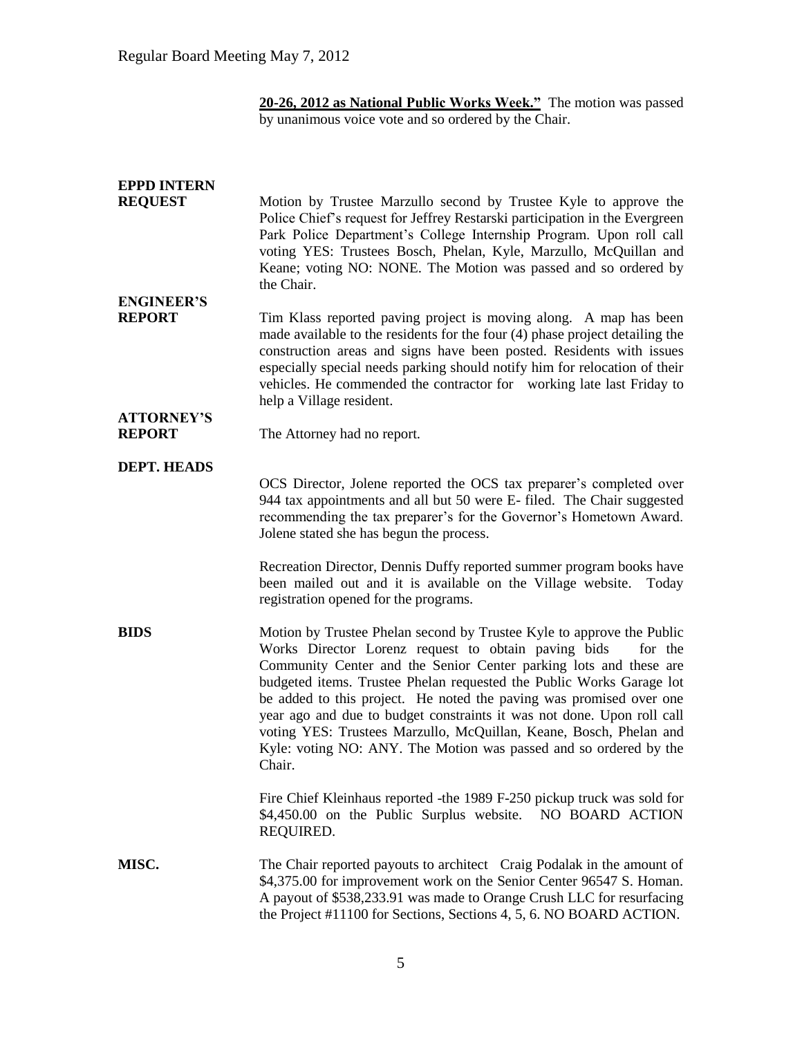**20-26, 2012 as National Public Works Week."** The motion was passed by unanimous voice vote and so ordered by the Chair.

| <b>EPPD INTERN</b>                 |                                                                                                                                                                                                                                                                                                                                                                                                                                                                                                                                                                                            |
|------------------------------------|--------------------------------------------------------------------------------------------------------------------------------------------------------------------------------------------------------------------------------------------------------------------------------------------------------------------------------------------------------------------------------------------------------------------------------------------------------------------------------------------------------------------------------------------------------------------------------------------|
| <b>REQUEST</b>                     | Motion by Trustee Marzullo second by Trustee Kyle to approve the<br>Police Chief's request for Jeffrey Restarski participation in the Evergreen<br>Park Police Department's College Internship Program. Upon roll call<br>voting YES: Trustees Bosch, Phelan, Kyle, Marzullo, McQuillan and<br>Keane; voting NO: NONE. The Motion was passed and so ordered by<br>the Chair.                                                                                                                                                                                                               |
| <b>ENGINEER'S</b><br><b>REPORT</b> | Tim Klass reported paving project is moving along. A map has been<br>made available to the residents for the four (4) phase project detailing the<br>construction areas and signs have been posted. Residents with issues<br>especially special needs parking should notify him for relocation of their<br>vehicles. He commended the contractor for working late last Friday to<br>help a Village resident.                                                                                                                                                                               |
| <b>ATTORNEY'S</b><br><b>REPORT</b> | The Attorney had no report.                                                                                                                                                                                                                                                                                                                                                                                                                                                                                                                                                                |
| <b>DEPT. HEADS</b>                 |                                                                                                                                                                                                                                                                                                                                                                                                                                                                                                                                                                                            |
|                                    | OCS Director, Jolene reported the OCS tax preparer's completed over<br>944 tax appointments and all but 50 were E- filed. The Chair suggested<br>recommending the tax preparer's for the Governor's Hometown Award.<br>Jolene stated she has begun the process.                                                                                                                                                                                                                                                                                                                            |
|                                    | Recreation Director, Dennis Duffy reported summer program books have<br>been mailed out and it is available on the Village website.<br>Today<br>registration opened for the programs.                                                                                                                                                                                                                                                                                                                                                                                                      |
| <b>BIDS</b>                        | Motion by Trustee Phelan second by Trustee Kyle to approve the Public<br>Works Director Lorenz request to obtain paving bids<br>for the<br>Community Center and the Senior Center parking lots and these are<br>budgeted items. Trustee Phelan requested the Public Works Garage lot<br>be added to this project. He noted the paving was promised over one<br>year ago and due to budget constraints it was not done. Upon roll call<br>voting YES: Trustees Marzullo, McQuillan, Keane, Bosch, Phelan and<br>Kyle: voting NO: ANY. The Motion was passed and so ordered by the<br>Chair. |
|                                    | Fire Chief Kleinhaus reported - the 1989 F-250 pickup truck was sold for<br>\$4,450.00 on the Public Surplus website. NO BOARD ACTION<br>REQUIRED.                                                                                                                                                                                                                                                                                                                                                                                                                                         |
| MISC.                              | The Chair reported payouts to architect Craig Podalak in the amount of<br>\$4,375.00 for improvement work on the Senior Center 96547 S. Homan.<br>A payout of \$538,233.91 was made to Orange Crush LLC for resurfacing<br>the Project #11100 for Sections, Sections 4, 5, 6. NO BOARD ACTION.                                                                                                                                                                                                                                                                                             |